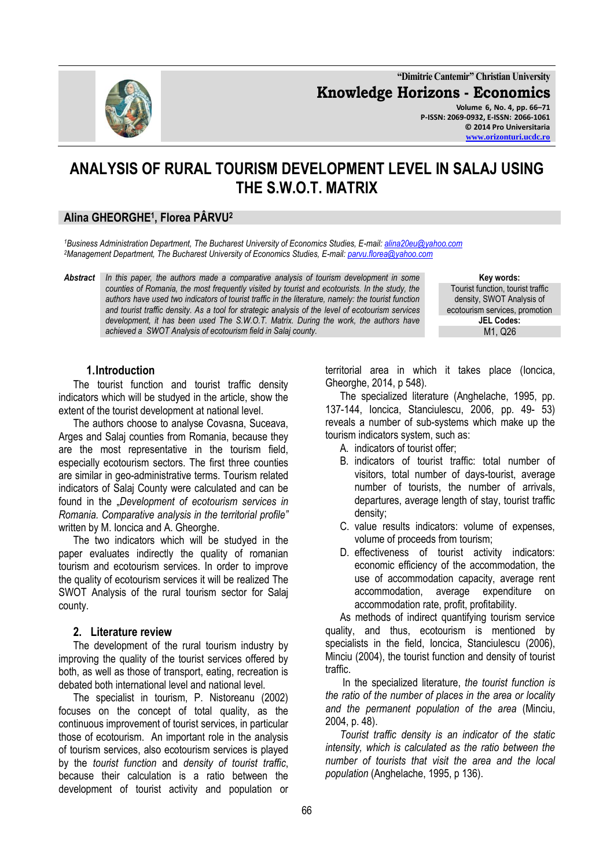

**"Dimitrie Cantemir" Christian University Knowledge Horizons - Economics Volume 6, No. 4, pp. 66–71 P-ISSN: 2069-0932, E-ISSN: 2066-1061 © 2014 Pro Universitaria**

# **ANALYSIS OF RURAL TOURISM DEVELOPMENT LEVEL IN SALAJ USING THE S.W.O.T. MATRIX**

## **Alina GHEORGHE<sup>1</sup> , Florea PÂRVU<sup>2</sup>**

*<sup>1</sup>Business Administration Department, The Bucharest University of Economics Studies, E-mail: [alina20eu@yahoo.com](mailto:alina20eu@yahoo.com) <sup>2</sup>Management Department, The Bucharest University of Economics Studies, E-mail[: parvu.florea@yahoo.com](mailto:parvu.florea@yahoo.com)*

*Abstract In this paper, the authors made a comparative analysis of tourism development in some counties of Romania, the most frequently visited by tourist and ecotourists. In the study, the authors have used two indicators of tourist traffic in the literature, namely: the tourist function and tourist traffic density. As a tool for strategic analysis of the level of ecotourism services development, it has been used The S.W.O.T. Matrix. During the work, the authors have achieved a SWOT Analysis of ecotourism field in Salaj county.*

**Key words:** Tourist function, tourist traffic density, SWOT Analysis of ecotourism services, promotion **JEL Codes:** M1, Q26

#### **1.Introduction**

The tourist function and tourist traffic density indicators which will be studyed in the article, show the extent of the tourist development at national level.

The authors choose to analyse Covasna, Suceava, Arges and Salaj counties from Romania, because they are the most representative in the tourism field, especially ecotourism sectors. The first three counties are similar in geo-administrative terms. Tourism related indicators of Salaj County were calculated and can be found in the "Development of ecotourism services in *Romania. Comparative analysis in the territorial profile"*  written by M. Ioncica and A. Gheorghe.

The two indicators which will be studyed in the paper evaluates indirectly the quality of romanian tourism and ecotourism services. In order to improve the quality of ecotourism services it will be realized The SWOT Analysis of the rural tourism sector for Salaj county.

### **2. Literature review**

The development of the rural tourism industry by improving the quality of the tourist services offered by both, as well as those of transport, eating, recreation is debated both international level and national level.

The specialist in tourism, P. Nistoreanu (2002) focuses on the concept of total quality, as the continuous improvement of tourist services, in particular those of ecotourism. An important role in the analysis of tourism services, also ecotourism services is played by the *tourist function* and *density of tourist traffic*, because their calculation is a ratio between the development of tourist activity and population or territorial area in which it takes place (Ioncica, Gheorghe, 2014, p 548).

The specialized literature (Anghelache, 1995, pp. 137-144, Ioncica, Stanciulescu, 2006, pp. 49- 53) reveals a number of sub-systems which make up the tourism indicators system, such as:

- A. indicators of tourist offer;
- B. indicators of tourist traffic: total number of visitors, total number of days-tourist, average number of tourists, the number of arrivals, departures, average length of stay, tourist traffic density;
- C. value results indicators: volume of expenses, volume of proceeds from tourism;
- D. effectiveness of tourist activity indicators: economic efficiency of the accommodation, the use of accommodation capacity, average rent accommodation, average expenditure on accommodation rate, profit, profitability.

As methods of indirect quantifying tourism service quality, and thus, ecotourism is mentioned by specialists in the field, Ioncica, Stanciulescu (2006), Minciu (2004), the tourist function and density of tourist traffic.

In the specialized literature, *the tourist function is the ratio of the number of places in the area or locality and the permanent population of the area* (Minciu, 2004, p. 48).

*Tourist traffic density is an indicator of the static intensity, which is calculated as the ratio between the number of tourists that visit the area and the local population* (Anghelache, 1995, p 136).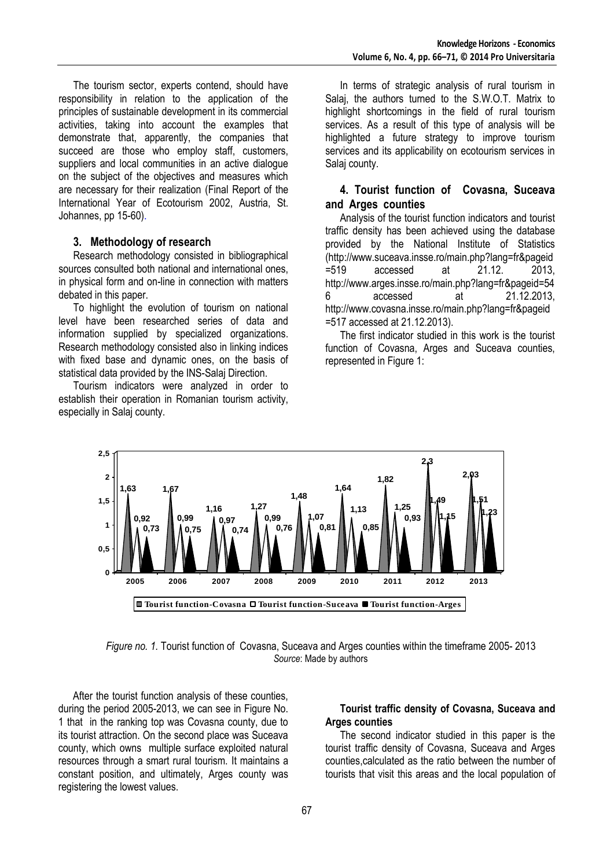The tourism sector, experts contend, should have responsibility in relation to the application of the principles of sustainable development in its commercial activities, taking into account the examples that demonstrate that, apparently, the companies that succeed are those who employ staff, customers, suppliers and local communities in an active dialogue on the subject of the objectives and measures which are necessary for their realization (Final Report of the International Year of Ecotourism 2002, Austria, St. Johannes, pp 15-60).

#### **3. Methodology of research**

Research methodology consisted in bibliographical sources consulted both national and international ones, in physical form and on-line in connection with matters debated in this paper.

To highlight the evolution of tourism on national level have been researched series of data and information supplied by specialized organizations. Research methodology consisted also in linking indices with fixed base and dynamic ones, on the basis of statistical data provided by the INS-Salaj Direction.

Tourism indicators were analyzed in order to establish their operation in Romanian tourism activity, especially in Salaj county.

In terms of strategic analysis of rural tourism in Salaj, the authors turned to the S.W.O.T. Matrix to highlight shortcomings in the field of rural tourism services. As a result of this type of analysis will be highlighted a future strategy to improve tourism services and its applicability on ecotourism services in Salaj county.

## **4. Tourist function of Covasna, Suceava and Arges counties**

Analysis of the tourist function indicators and tourist traffic density has been achieved using the database provided by the National Institute of Statistics (http://www.suceava.insse.ro/main.php?lang=fr&pageid =519 accessed at 21.12. 2013, http://www.arges.insse.ro/main.php?lang=fr&pageid=54 6 accessed at 21.12.2013, http://www.covasna.insse.ro/main.php?lang=fr&pageid =517 accessed at 21.12.2013).

The first indicator studied in this work is the tourist function of Covasna, Arges and Suceava counties, represented in Figure 1:



*Figure no. 1.* Tourist function of Covasna, Suceava and Arges counties within the timeframe 2005- 2013 *Source*: Made by authors

After the tourist function analysis of these counties, during the period 2005-2013, we can see in Figure No. 1 that in the ranking top was Covasna county, due to its tourist attraction. On the second place was Suceava county, which owns multiple surface exploited natural resources through a smart rural tourism. It maintains a constant position, and ultimately, Arges county was registering the lowest values.

#### **Tourist traffic density of Covasna, Suceava and Arges counties**

The second indicator studied in this paper is the tourist traffic density of Covasna, Suceava and Arges counties,calculated as the ratio between the number of tourists that visit this areas and the local population of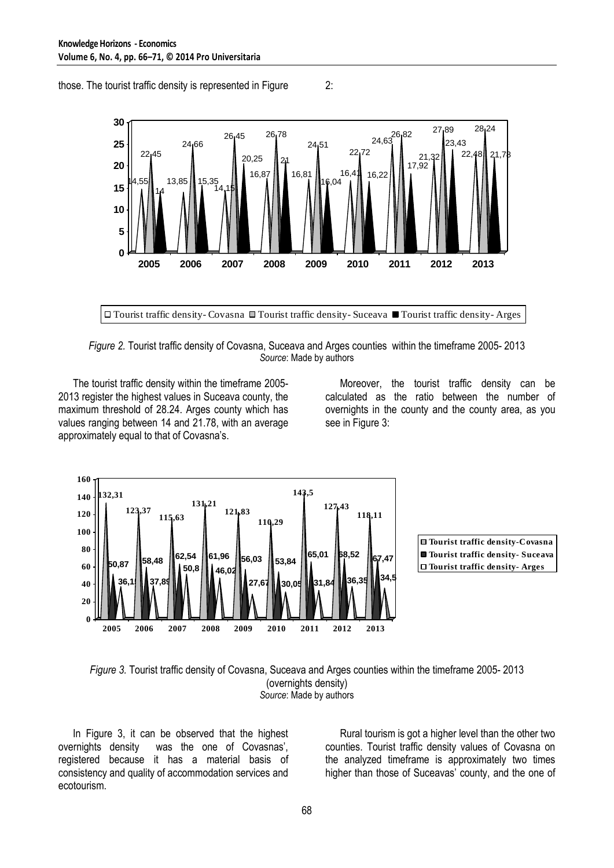14,55 22,45 14 13,85 24,66 15,35 14,15 26,45 20,25 16,87 26,78 21 16,81 24,51 16,04 16,41 22,72 16,22 24,63<sup>26</sup>1<sup>82</sup> 17,92 21,32 27,89 23,43 22,48 28,24 21.7 **0 5 10 15 20 25 30 2005 2006 2007 2008 2009 2010 2011 2012 2013**

those. The tourist traffic density is represented in Figure 2:

Tourist traffic density- Covasna Tourist traffic density- Suceava Tourist traffic density- Arges

*Figure 2.* Tourist traffic density of Covasna, Suceava and Arges counties within the timeframe 2005- 2013 *Source*: Made by authors

The tourist traffic density within the timeframe 2005- 2013 register the highest values in Suceava county, the maximum threshold of 28.24. Arges county which has values ranging between 14 and 21.78, with an average approximately equal to that of Covasna's.

Moreover, the tourist traffic density can be calculated as the ratio between the number of overnights in the county and the county area, as you see in Figure 3:





#### *Figure 3.* Tourist traffic density of Covasna, Suceava and Arges counties within the timeframe 2005- 2013 (overnights density) *Source*: Made by authors

In Figure 3, it can be observed that the highest overnights density was the one of Covasnas', registered because it has a material basis of consistency and quality of accommodation services and ecotourism.

Rural tourism is got a higher level than the other two counties. Tourist traffic density values of Covasna on the analyzed timeframe is approximately two times higher than those of Suceavas' county, and the one of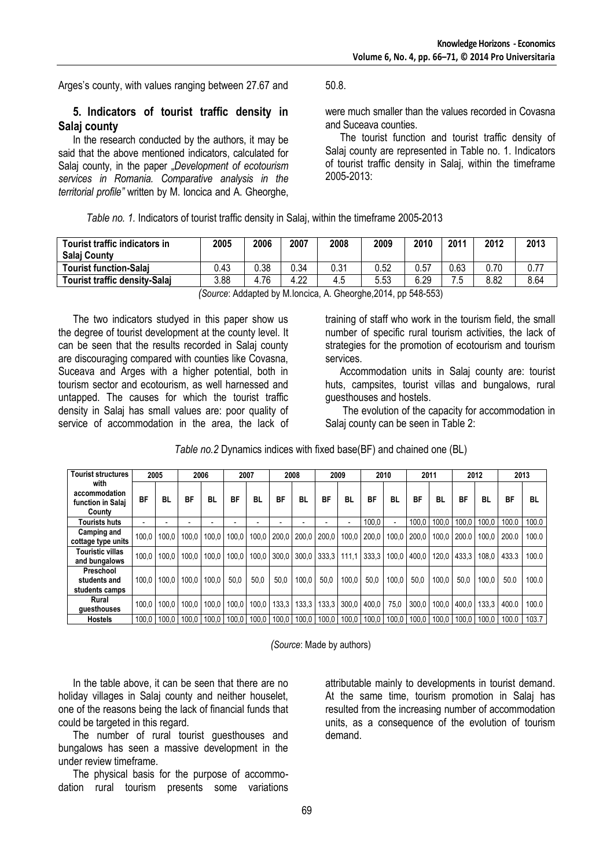Arges's county, with values ranging between 27.67 and 50.8.

### **5. Indicators of tourist traffic density in Salaj county**

In the research conducted by the authors, it may be said that the above mentioned indicators, calculated for Salaj county, in the paper *"Development of ecotourism services in Romania. Comparative analysis in the territorial profile"* written by M. Ioncica and A. Gheorghe,

were much smaller than the values recorded in Covasna and Suceava counties.

The tourist function and tourist traffic density of Salaj county are represented in Table no. 1. Indicators of tourist traffic density in Salaj, within the timeframe 2005-2013:

*Table no. 1.* Indicators of tourist traffic density in Salaj, within the timeframe 2005-2013

| Tourist traffic indicators in<br><b>Salaj County</b> | 2005 | 2006 | 2007 | 2008 | 2009 | 2010 | 2011 | 2012 | 2013 |
|------------------------------------------------------|------|------|------|------|------|------|------|------|------|
| <b>Tourist function-Salai</b>                        | 0.43 | 0.38 | 0.34 | 0.31 | 0.52 | 0.57 | 0.63 | 0.70 | 0.77 |
| <b>Tourist traffic density-Salaj</b>                 | 3.88 | 76،، | 4.22 | 4.5  | 5.53 | 6.29 | 7.5  | 8.82 | 8.64 |

*(Source*: Addapted by M.Ioncica, A. Gheorghe,2014, pp 548-553)

The two indicators studyed in this paper show us the degree of tourist development at the county level. It can be seen that the results recorded in Salaj county are discouraging compared with counties like Covasna, Suceava and Arges with a higher potential, both in tourism sector and ecotourism, as well harnessed and untapped. The causes for which the tourist traffic density in Salaj has small values are: poor quality of service of accommodation in the area, the lack of training of staff who work in the tourism field, the small number of specific rural tourism activities, the lack of strategies for the promotion of ecotourism and tourism services.

Accommodation units in Salaj county are: tourist huts, campsites, tourist villas and bungalows, rural guesthouses and hostels.

The evolution of the capacity for accommodation in Salaj county can be seen in Table 2:

| <b>Tourist structures</b>                            |           | 2005  | 2006      |           | 2007      |       | 2008        |       | 2009                     |       | 2010                  |                          | 2011      |       | 2012      |       | 2013  |       |
|------------------------------------------------------|-----------|-------|-----------|-----------|-----------|-------|-------------|-------|--------------------------|-------|-----------------------|--------------------------|-----------|-------|-----------|-------|-------|-------|
| with<br>accommodation<br>function in Salai<br>County | <b>BF</b> | BL    | <b>BF</b> | <b>BL</b> | <b>BF</b> | BL    | BF          | BL    | <b>BF</b>                | BL    | <b>BF</b>             | BL                       | <b>BF</b> | BL    | <b>BF</b> | BL    | BF    | BL    |
| Tourists huts                                        |           |       |           |           |           |       |             |       | $\overline{\phantom{a}}$ |       | 100.0                 | $\overline{\phantom{0}}$ | 100.0     | 100.0 | 100.0     | 100.0 | 100.0 | 100.0 |
| Camping and<br>cottage type units                    | 100.0     | 100.0 | 100.0     | 100.0     | 100.0     | 100.0 | 200.0       | 200.0 | 200.0                    | 100.0 | 200.0                 | 100.0                    | 200.0     | 100.0 | 200.0     | 100.0 | 200.0 | 100.0 |
| <b>Touristic villas</b><br>and bungalows             | 100.0     | 100.0 | 100.0     | 100.0     | 100.0     |       | 100.0 300.0 | 300.0 | 333.3                    | 111.1 | 333.3   100.0   400.0 |                          |           | 120.0 | 433.3     | 108.0 | 433.3 | 100.0 |
| Preschool<br>students and<br>students camps          | 100.0     | 100.0 | 100.0     | 100.0     | 50.0      | 50,0  | 50.0        | 100.0 | 50.0                     | 100.0 | 50.0                  | 100.0                    | 50.0      | 100.0 | 50.0      | 100.0 | 50.0  | 100.0 |
| Rural<br>guesthouses                                 | 100.0     | 100.0 | 100.0     | 100.0     | 100.0     | 100.0 | 133.3       | 133.3 | 133.3                    | 300.0 | 400.0                 | 75.0                     | 300.0     | 100.0 | 400.0     | 133.3 | 400.0 | 100.0 |
| <b>Hostels</b>                                       | 100.0     | 100.0 | 100.0     | 100.0     | 100.0     |       | 100.0 100.0 | 100.0 | 100,0                    | 100.0 | 100.0                 | 100.0                    | 100.0     | 100.0 | 100.0     | 100.0 | 100.0 | 103.7 |

*Table no.2* Dynamics indices with fixed base(BF) and chained one (BL)

*(Source*: Made by authors)

In the table above, it can be seen that there are no holiday villages in Salaj county and neither houselet, one of the reasons being the lack of financial funds that could be targeted in this regard.

The number of rural tourist guesthouses and bungalows has seen a massive development in the under review timeframe.

The physical basis for the purpose of accommodation rural tourism presents some variations

attributable mainly to developments in tourist demand. At the same time, tourism promotion in Salaj has resulted from the increasing number of accommodation units, as a consequence of the evolution of tourism demand.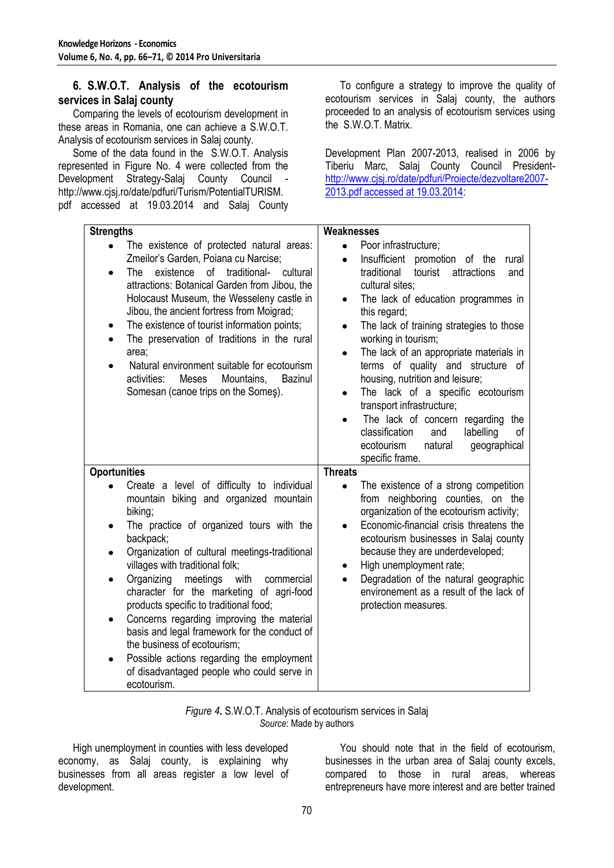### **6. S.W.O.T. Analysis of the ecotourism services in Salaj county**

Comparing the levels of ecotourism development in these areas in Romania, one can achieve a S.W.O.T. Analysis of ecotourism services in Salaj county.

Some of the data found in the S.W.O.T. Analysis represented in Figure No. 4 were collected from the Development Strategy-Salaj County Council http://www.cjsj.ro/date/pdfuri/Turism/PotentialTURISM. pdf accessed at 19.03.2014 and Salaj County

To configure a strategy to improve the quality of ecotourism services in Salaj county, the authors proceeded to an analysis of ecotourism services using the S.W.O.T. Matrix.

Development Plan 2007-2013, realised in 2006 by Tiberiu Marc, Salaj County Council President[http://www.cjsj.ro/date/pdfuri/Proiecte/dezvoltare2007-](http://www.cjsj.ro/date/pdfuri/Proiecte/dezvoltare2007-2013.pdf%20accessed%20at%2019.03.2014) [2013.pdf accessed at 19.03.2014:](http://www.cjsj.ro/date/pdfuri/Proiecte/dezvoltare2007-2013.pdf%20accessed%20at%2019.03.2014)

| <b>Strengths</b>                                                                                                                                                                                                                                                                                                                                                                                                                                                                                                                                                                                                                                                                                    | Weaknesses                                                                                                                                                                                                                                                                                                                                                                                                                                                                                                                                                                                                                                                               |
|-----------------------------------------------------------------------------------------------------------------------------------------------------------------------------------------------------------------------------------------------------------------------------------------------------------------------------------------------------------------------------------------------------------------------------------------------------------------------------------------------------------------------------------------------------------------------------------------------------------------------------------------------------------------------------------------------------|--------------------------------------------------------------------------------------------------------------------------------------------------------------------------------------------------------------------------------------------------------------------------------------------------------------------------------------------------------------------------------------------------------------------------------------------------------------------------------------------------------------------------------------------------------------------------------------------------------------------------------------------------------------------------|
| The existence of protected natural areas:<br>$\bullet$<br>Zmeilor's Garden, Poiana cu Narcise;<br>existence of traditional-<br>The<br>cultural<br>$\bullet$<br>attractions: Botanical Garden from Jibou, the<br>Holocaust Museum, the Wesseleny castle in<br>Jibou, the ancient fortress from Moigrad;<br>The existence of tourist information points;<br>٠<br>The preservation of traditions in the rural<br>$\bullet$<br>area;<br>Natural environment suitable for ecotourism<br>$\bullet$<br>activities:<br>Meses<br>Mountains,<br><b>Bazinul</b><br>Somesan (canoe trips on the Somes).                                                                                                         | Poor infrastructure;<br>$\bullet$<br>Insufficient promotion of the<br>rural<br>$\bullet$<br>tourist attractions<br>traditional<br>and<br>cultural sites;<br>The lack of education programmes in<br>$\bullet$<br>this regard;<br>The lack of training strategies to those<br>$\bullet$<br>working in tourism;<br>The lack of an appropriate materials in<br>$\bullet$<br>terms of quality and structure of<br>housing, nutrition and leisure;<br>The lack of a specific ecotourism<br>$\bullet$<br>transport infrastructure;<br>The lack of concern regarding the<br>classification<br>and<br>labelling<br>οf<br>ecotourism<br>natural<br>geographical<br>specific frame. |
| <b>Oportunities</b><br>Create a level of difficulty to individual<br>$\bullet$<br>mountain biking and organized mountain<br>biking;<br>The practice of organized tours with the<br>backpack;<br>Organization of cultural meetings-traditional<br>villages with traditional folk;<br>Organizing<br>meetings<br>with<br>commercial<br>$\bullet$<br>character for the marketing of agri-food<br>products specific to traditional food;<br>Concerns regarding improving the material<br>$\bullet$<br>basis and legal framework for the conduct of<br>the business of ecotourism;<br>Possible actions regarding the employment<br>$\bullet$<br>of disadvantaged people who could serve in<br>ecotourism. | <b>Threats</b><br>The existence of a strong competition<br>$\bullet$<br>from neighboring counties, on the<br>organization of the ecotourism activity;<br>Economic-financial crisis threatens the<br>ecotourism businesses in Salaj county<br>because they are underdeveloped;<br>High unemployment rate;<br>٠<br>Degradation of the natural geographic<br>$\bullet$<br>environement as a result of the lack of<br>protection measures.                                                                                                                                                                                                                                   |

| Figure 4. S.W.O.T. Analysis of ecotourism services in Salaj |  |
|-------------------------------------------------------------|--|
| Source: Made by authors                                     |  |

High unemployment in counties with less developed economy, as Salaj county, is explaining why businesses from all areas register a low level of development.

You should note that in the field of ecotourism, businesses in the urban area of Salaj county excels, compared to those in rural areas, whereas entrepreneurs have more interest and are better trained